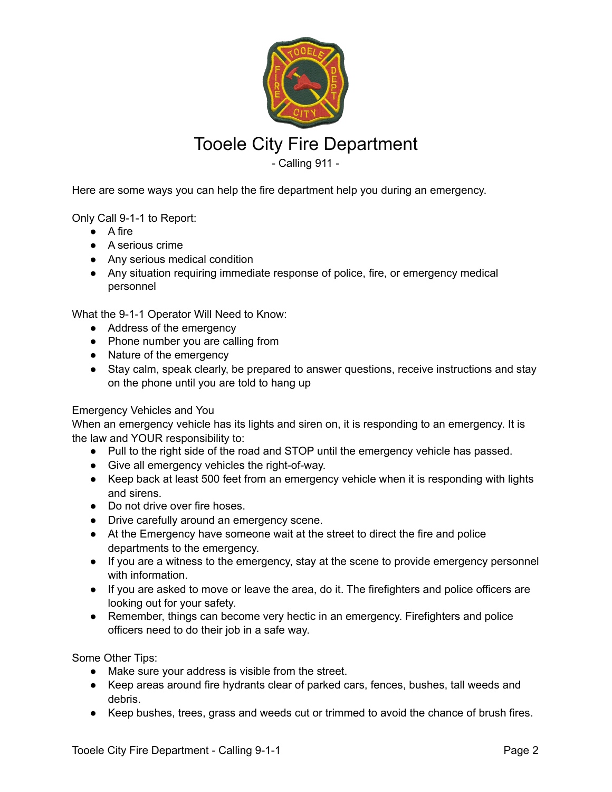

## Tooele City Fire Department

- Calling 911 -

Here are some ways you can help the fire department help you during an emergency.

Only Call 9-1-1 to Report:

- A fire
- A serious crime
- Any serious medical condition
- Any situation requiring immediate response of police, fire, or emergency medical personnel

What the 9-1-1 Operator Will Need to Know:

- Address of the emergency
- Phone number you are calling from
- Nature of the emergency
- Stay calm, speak clearly, be prepared to answer questions, receive instructions and stay on the phone until you are told to hang up

## Emergency Vehicles and You

When an emergency vehicle has its lights and siren on, it is responding to an emergency. It is the law and YOUR responsibility to:

- Pull to the right side of the road and STOP until the emergency vehicle has passed.
- Give all emergency vehicles the right-of-way.
- Keep back at least 500 feet from an emergency vehicle when it is responding with lights and sirens.
- Do not drive over fire hoses.
- Drive carefully around an emergency scene.
- At the Emergency have someone wait at the street to direct the fire and police departments to the emergency.
- If you are a witness to the emergency, stay at the scene to provide emergency personnel with information.
- If you are asked to move or leave the area, do it. The firefighters and police officers are looking out for your safety.
- Remember, things can become very hectic in an emergency. Firefighters and police officers need to do their job in a safe way.

Some Other Tips:

- Make sure your address is visible from the street.
- Keep areas around fire hydrants clear of parked cars, fences, bushes, tall weeds and debris.
- Keep bushes, trees, grass and weeds cut or trimmed to avoid the chance of brush fires.